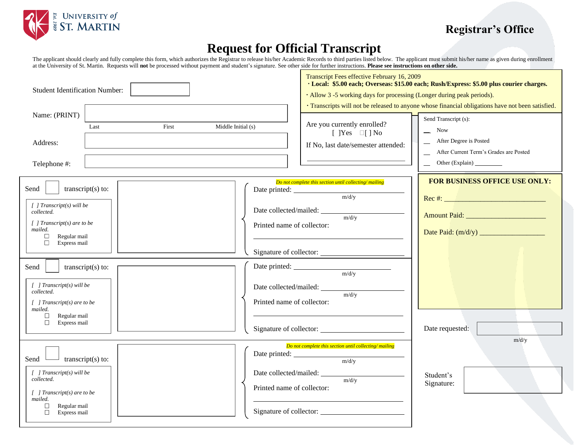

# **Registrar's Office**

# **Request for Official Transcript**

The applicant should clearly and fully complete this form, which authorizes the Registrar to release his/her Academic Records to third parties listed below. The applicant must submit his/her name as given during enrollment at the University of St. Martin. Requests will **not** be processed without payment and student's signature. See other side for further instructions. **Please see instructions on other side.**

| <b>Student Identification Number:</b>                                                                                                                                                                                                                                                                                                                                       | Transcript Fees effective February 16, 2009<br>· Local: \$5.00 each; Overseas: \$15.00 each; Rush/Express: \$5.00 plus courier charges.<br>· Allow 3 -5 working days for processing (Longer during peak periods).<br>· Transcripts will not be released to anyone whose financial obligations have not been satisfied.                                             |
|-----------------------------------------------------------------------------------------------------------------------------------------------------------------------------------------------------------------------------------------------------------------------------------------------------------------------------------------------------------------------------|--------------------------------------------------------------------------------------------------------------------------------------------------------------------------------------------------------------------------------------------------------------------------------------------------------------------------------------------------------------------|
| Name: (PRINT)<br>First<br>Middle Initial (s)<br>Last<br>Address:<br>Telephone #:                                                                                                                                                                                                                                                                                            | Send Transcript (s):<br>Are you currently enrolled?<br><b>Now</b><br>[ $]Yes \square[] No$<br>After Degree is Posted<br>If No, last date/semester attended:<br>After Current Term's Grades are Posted                                                                                                                                                              |
| Send<br>transcript $(s)$ to:<br>Date printed:<br>$\int$ ] Transcript(s) will be<br>collected.<br>$\int$ ] Transcript(s) are to be<br>mailed.<br>$\Box$<br>Regular mail<br>$\Box$<br>Express mail<br>transcript $(s)$ to:<br>Send<br>$[$ ] Transcript(s) will be<br>collected.<br>[ ] Transcript(s) are to be<br>mailed.<br>Regular mail<br>$\Box$<br>$\Box$<br>Express mail | FOR BUSINESS OFFICE USE ONLY:<br>Do not complete this section until collecting/mailing<br>m/d/y<br>m/d/y<br>Printed name of collector:<br>Signature of collector:<br>Date printed: $\frac{m \cdot d \cdot y}{m \cdot d \cdot y}$<br>Date collected/mailed: $\frac{m \cdot d \cdot y}{m \cdot d \cdot y}$<br>Printed name of collector:<br>Date requested:<br>m/d/y |
| Send<br>transcript $(s)$ to:<br>$[$ ] Transcript(s) will be<br>collected.<br>$\int$ ] Transcript(s) are to be<br>mailed.<br>$\Box$<br>Regular mail<br>$\Box$<br>Express mail                                                                                                                                                                                                | Do not complete this section until collecting/mailing<br>Date printed: $\frac{m/dy}{y}$<br>Date collected/mailed: $\frac{m/d/y}{m/dy}$<br>Student's<br>Signature:<br>Printed name of collector:<br>Signature of collector:                                                                                                                                         |